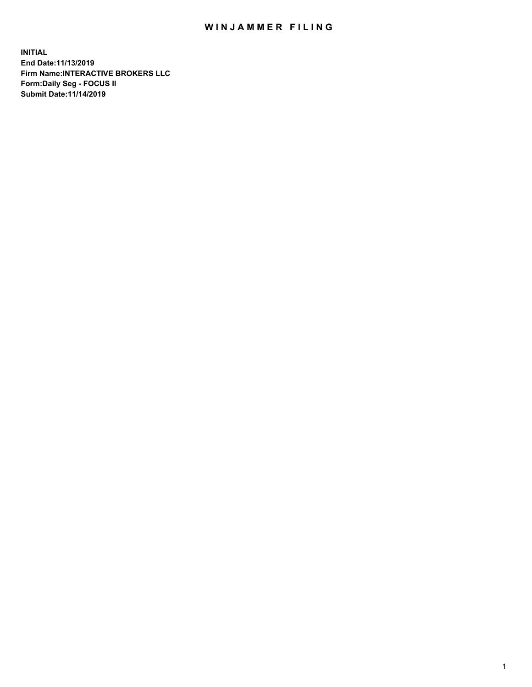## WIN JAMMER FILING

**INITIAL End Date:11/13/2019 Firm Name:INTERACTIVE BROKERS LLC Form:Daily Seg - FOCUS II Submit Date:11/14/2019**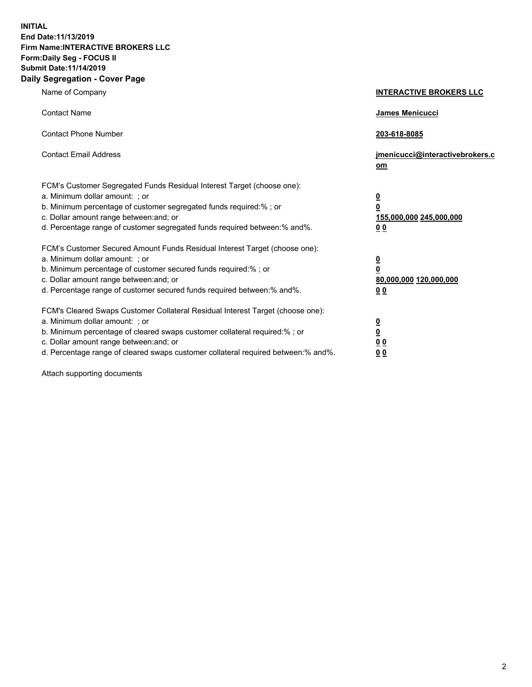**INITIAL End Date:11/13/2019 Firm Name:INTERACTIVE BROKERS LLC Form:Daily Seg - FOCUS II Submit Date:11/14/2019 Daily Segregation - Cover Page**

| Name of Company                                                                                                                                                                                                                                                                                                                | <b>INTERACTIVE BROKERS LLC</b>                                                                  |
|--------------------------------------------------------------------------------------------------------------------------------------------------------------------------------------------------------------------------------------------------------------------------------------------------------------------------------|-------------------------------------------------------------------------------------------------|
| <b>Contact Name</b>                                                                                                                                                                                                                                                                                                            | James Menicucci                                                                                 |
| <b>Contact Phone Number</b>                                                                                                                                                                                                                                                                                                    | 203-618-8085                                                                                    |
| <b>Contact Email Address</b>                                                                                                                                                                                                                                                                                                   | jmenicucci@interactivebrokers.c<br>om                                                           |
| FCM's Customer Segregated Funds Residual Interest Target (choose one):<br>a. Minimum dollar amount: ; or<br>b. Minimum percentage of customer segregated funds required:% ; or<br>c. Dollar amount range between: and; or<br>d. Percentage range of customer segregated funds required between:% and%.                         | $\overline{\mathbf{0}}$<br>$\overline{\mathbf{0}}$<br>155,000,000 245,000,000<br>0 <sub>0</sub> |
| FCM's Customer Secured Amount Funds Residual Interest Target (choose one):<br>a. Minimum dollar amount: ; or<br>b. Minimum percentage of customer secured funds required:% ; or<br>c. Dollar amount range between: and; or<br>d. Percentage range of customer secured funds required between:% and%.                           | $\overline{\mathbf{0}}$<br>0<br>80,000,000 120,000,000<br>0 <sub>0</sub>                        |
| FCM's Cleared Swaps Customer Collateral Residual Interest Target (choose one):<br>a. Minimum dollar amount: ; or<br>b. Minimum percentage of cleared swaps customer collateral required:% ; or<br>c. Dollar amount range between: and; or<br>d. Percentage range of cleared swaps customer collateral required between:% and%. | $\overline{\mathbf{0}}$<br><u>0</u><br>$\underline{0}$ $\underline{0}$<br>00                    |

Attach supporting documents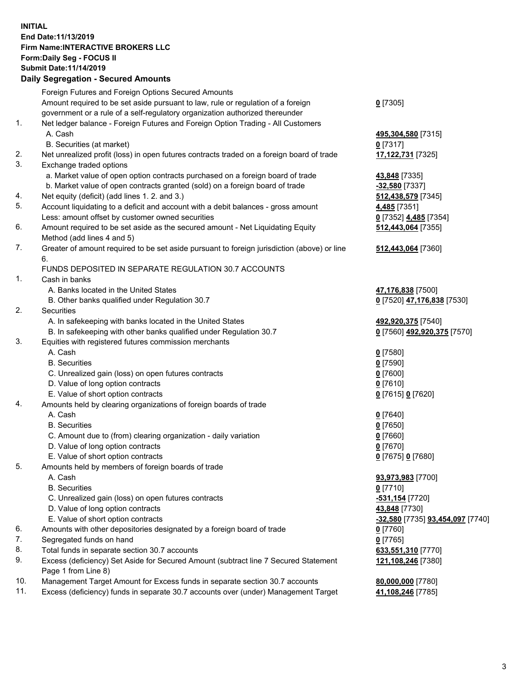## **INITIAL End Date:11/13/2019 Firm Name:INTERACTIVE BROKERS LLC Form:Daily Seg - FOCUS II Submit Date:11/14/2019 Daily Segregation - Secured Amounts**

|     | Daily Segregation - Secured Amounts                                                         |                                  |
|-----|---------------------------------------------------------------------------------------------|----------------------------------|
|     | Foreign Futures and Foreign Options Secured Amounts                                         |                                  |
|     | Amount required to be set aside pursuant to law, rule or regulation of a foreign            | $0$ [7305]                       |
|     | government or a rule of a self-regulatory organization authorized thereunder                |                                  |
| 1.  | Net ledger balance - Foreign Futures and Foreign Option Trading - All Customers             |                                  |
|     | A. Cash                                                                                     | 495,304,580 [7315]               |
|     | B. Securities (at market)                                                                   | $0$ [7317]                       |
| 2.  | Net unrealized profit (loss) in open futures contracts traded on a foreign board of trade   | 17,122,731 [7325]                |
| 3.  | Exchange traded options                                                                     |                                  |
|     | a. Market value of open option contracts purchased on a foreign board of trade              | 43,848 [7335]                    |
|     | b. Market value of open contracts granted (sold) on a foreign board of trade                | $-32,580$ [7337]                 |
| 4.  | Net equity (deficit) (add lines 1. 2. and 3.)                                               | 512,438,579 [7345]               |
| 5.  | Account liquidating to a deficit and account with a debit balances - gross amount           | 4,485 [7351]                     |
|     | Less: amount offset by customer owned securities                                            | 0 [7352] 4,485 [7354]            |
| 6.  | Amount required to be set aside as the secured amount - Net Liquidating Equity              | 512,443,064 [7355]               |
|     | Method (add lines 4 and 5)                                                                  |                                  |
| 7.  | Greater of amount required to be set aside pursuant to foreign jurisdiction (above) or line | 512,443,064 [7360]               |
|     | 6.                                                                                          |                                  |
|     | FUNDS DEPOSITED IN SEPARATE REGULATION 30.7 ACCOUNTS                                        |                                  |
| 1.  | Cash in banks                                                                               |                                  |
|     | A. Banks located in the United States                                                       | 47,176,838 [7500]                |
|     | B. Other banks qualified under Regulation 30.7                                              | 0 [7520] 47,176,838 [7530]       |
| 2.  | Securities                                                                                  |                                  |
|     | A. In safekeeping with banks located in the United States                                   | 492,920,375 [7540]               |
|     | B. In safekeeping with other banks qualified under Regulation 30.7                          | 0 [7560] 492,920,375 [7570]      |
| 3.  | Equities with registered futures commission merchants                                       |                                  |
|     | A. Cash                                                                                     | $0$ [7580]                       |
|     | <b>B.</b> Securities                                                                        | $0$ [7590]                       |
|     | C. Unrealized gain (loss) on open futures contracts                                         | $0$ [7600]                       |
|     | D. Value of long option contracts                                                           | $0$ [7610]                       |
|     | E. Value of short option contracts                                                          | 0 [7615] 0 [7620]                |
| 4.  | Amounts held by clearing organizations of foreign boards of trade                           |                                  |
|     | A. Cash                                                                                     | $0$ [7640]                       |
|     | <b>B.</b> Securities                                                                        | $0$ [7650]                       |
|     | C. Amount due to (from) clearing organization - daily variation                             | $0$ [7660]                       |
|     | D. Value of long option contracts                                                           | $0$ [7670]                       |
|     | E. Value of short option contracts                                                          | 0 [7675] 0 [7680]                |
| 5.  | Amounts held by members of foreign boards of trade                                          |                                  |
|     | A. Cash                                                                                     | 93,973,983 [7700]                |
|     | <b>B.</b> Securities                                                                        | $0$ [7710]                       |
|     | C. Unrealized gain (loss) on open futures contracts                                         | -531,154 [7720]                  |
|     | D. Value of long option contracts                                                           | 43,848 [7730]                    |
|     | E. Value of short option contracts                                                          | -32,580 [7735] 93,454,097 [7740] |
| 6.  | Amounts with other depositories designated by a foreign board of trade                      | 0 [7760]                         |
| 7.  | Segregated funds on hand                                                                    | $0$ [7765]                       |
| 8.  | Total funds in separate section 30.7 accounts                                               | 633,551,310 [7770]               |
| 9.  | Excess (deficiency) Set Aside for Secured Amount (subtract line 7 Secured Statement         | 121,108,246 [7380]               |
|     | Page 1 from Line 8)                                                                         |                                  |
| 10. | Management Target Amount for Excess funds in separate section 30.7 accounts                 | 80,000,000 [7780]                |
| 11. | Excess (deficiency) funds in separate 30.7 accounts over (under) Management Target          | 41,108,246 [7785]                |
|     |                                                                                             |                                  |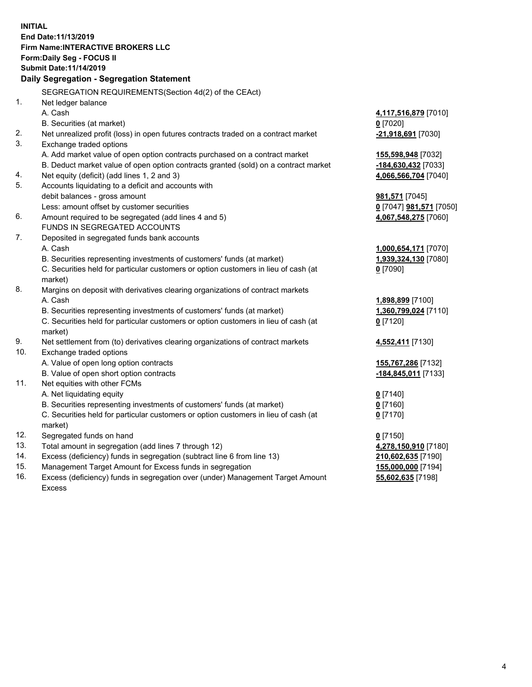**INITIAL End Date:11/13/2019 Firm Name:INTERACTIVE BROKERS LLC Form:Daily Seg - FOCUS II Submit Date:11/14/2019 Daily Segregation - Segregation Statement** SEGREGATION REQUIREMENTS(Section 4d(2) of the CEAct) 1. Net ledger balance A. Cash **4,117,516,879** [7010] B. Securities (at market) **0** [7020] 2. Net unrealized profit (loss) in open futures contracts traded on a contract market **-21,918,691** [7030] 3. Exchange traded options A. Add market value of open option contracts purchased on a contract market **155,598,948** [7032] B. Deduct market value of open option contracts granted (sold) on a contract market **-184,630,432** [7033] 4. Net equity (deficit) (add lines 1, 2 and 3) **4,066,566,704** [7040] 5. Accounts liquidating to a deficit and accounts with debit balances - gross amount **981,571** [7045] Less: amount offset by customer securities **0** [7047] **981,571** [7050] 6. Amount required to be segregated (add lines 4 and 5) **4,067,548,275** [7060] FUNDS IN SEGREGATED ACCOUNTS 7. Deposited in segregated funds bank accounts A. Cash **1,000,654,171** [7070] B. Securities representing investments of customers' funds (at market) **1,939,324,130** [7080] C. Securities held for particular customers or option customers in lieu of cash (at market) **0** [7090] 8. Margins on deposit with derivatives clearing organizations of contract markets A. Cash **1,898,899** [7100] B. Securities representing investments of customers' funds (at market) **1,360,799,024** [7110] C. Securities held for particular customers or option customers in lieu of cash (at market) **0** [7120] 9. Net settlement from (to) derivatives clearing organizations of contract markets **4,552,411** [7130] 10. Exchange traded options A. Value of open long option contracts **155,767,286** [7132] B. Value of open short option contracts **-184,845,011** [7133] 11. Net equities with other FCMs A. Net liquidating equity **0** [7140] B. Securities representing investments of customers' funds (at market) **0** [7160] C. Securities held for particular customers or option customers in lieu of cash (at market) **0** [7170] 12. Segregated funds on hand **0** [7150] 13. Total amount in segregation (add lines 7 through 12) **4,278,150,910** [7180] 14. Excess (deficiency) funds in segregation (subtract line 6 from line 13) **210,602,635** [7190] 15. Management Target Amount for Excess funds in segregation **155,000,000** [7194] **55,602,635** [7198]

16. Excess (deficiency) funds in segregation over (under) Management Target Amount Excess